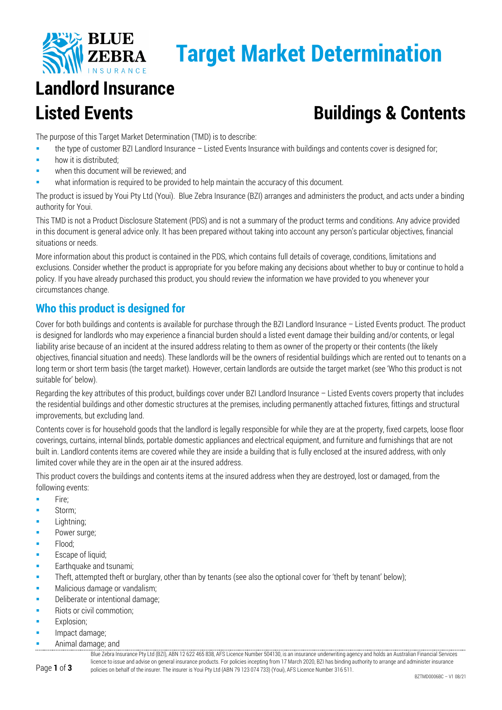

## **Target Market Determination**

# **Landlord Insurance**

### **Listed Events Buildings & Contents**

The purpose of this Target Market Determination (TMD) is to describe:

- the type of customer BZI Landlord Insurance Listed Events Insurance with buildings and contents cover is designed for;
- **how it is distributed:**
- when this document will be reviewed; and
- what information is required to be provided to help maintain the accuracy of this document.

The product is issued by Youi Pty Ltd (Youi). Blue Zebra Insurance (BZI) arranges and administers the product, and acts under a binding authority for Youi.

This TMD is not a Product Disclosure Statement (PDS) and is not a summary of the product terms and conditions. Any advice provided in this document is general advice only. It has been prepared without taking into account any person's particular objectives, financial situations or needs.

More information about this product is contained in the PDS, which contains full details of coverage, conditions, limitations and exclusions. Consider whether the product is appropriate for you before making any decisions about whether to buy or continue to hold a policy. If you have already purchased this product, you should review the information we have provided to you whenever your circumstances change.

#### **Who this product is designed for**

Cover for both buildings and contents is available for purchase through the BZI Landlord Insurance – Listed Events product. The product is designed for landlords who may experience a financial burden should a listed event damage their building and/or contents, or legal liability arise because of an incident at the insured address relating to them as owner of the property or their contents (the likely objectives, financial situation and needs). These landlords will be the owners of residential buildings which are rented out to tenants on a long term or short term basis (the target market). However, certain landlords are outside the target market (see 'Who this product is not suitable for' below).

Regarding the key attributes of this product, buildings cover under BZI Landlord Insurance – Listed Events covers property that includes the residential buildings and other domestic structures at the premises, including permanently attached fixtures, fittings and structural improvements, but excluding land.

Contents cover is for household goods that the landlord is legally responsible for while they are at the property, fixed carpets, loose floor coverings, curtains, internal blinds, portable domestic appliances and electrical equipment, and furniture and furnishings that are not built in. Landlord contents items are covered while they are inside a building that is fully enclosed at the insured address, with only limited cover while they are in the open air at the insured address.

This product covers the buildings and contents items at the insured address when they are destroyed, lost or damaged, from the following events:

- $F$  Fire:
- Storm;
- Lightning;
- Power surge:
- **Flood**;
- **Escape of liquid;**
- Earthquake and tsunami;
- Theft, attempted theft or burglary, other than by tenants (see also the optional cover for 'theft by tenant' below);
- **Malicious damage or vandalism;**
- Deliberate or intentional damage;
- Riots or civil commotion;
- Explosion;
- Impact damage;
- Animal damage; and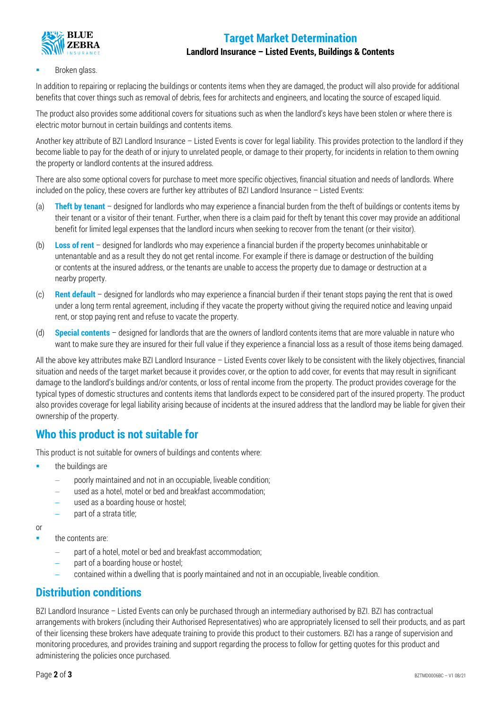#### **Target Market Determination**



#### **Landlord Insurance – Listed Events, Buildings & Contents**

#### Broken glass.

In addition to repairing or replacing the buildings or contents items when they are damaged, the product will also provide for additional benefits that cover things such as removal of debris, fees for architects and engineers, and locating the source of escaped liquid.

The product also provides some additional covers for situations such as when the landlord's keys have been stolen or where there is electric motor burnout in certain buildings and contents items.

Another key attribute of BZI Landlord Insurance – Listed Events is cover for legal liability. This provides protection to the landlord if they become liable to pay for the death of or injury to unrelated people, or damage to their property, for incidents in relation to them owning the property or landlord contents at the insured address.

There are also some optional covers for purchase to meet more specific objectives, financial situation and needs of landlords. Where included on the policy, these covers are further key attributes of BZI Landlord Insurance – Listed Events:

- (a) **Theft by tenant** designed for landlords who may experience a financial burden from the theft of buildings or contents items by their tenant or a visitor of their tenant. Further, when there is a claim paid for theft by tenant this cover may provide an additional benefit for limited legal expenses that the landlord incurs when seeking to recover from the tenant (or their visitor).
- (b) **Loss of rent** designed for landlords who may experience a financial burden if the property becomes uninhabitable or untenantable and as a result they do not get rental income. For example if there is damage or destruction of the building or contents at the insured address, or the tenants are unable to access the property due to damage or destruction at a nearby property.
- (c) **Rent default** designed for landlords who may experience a financial burden if their tenant stops paying the rent that is owed under a long term rental agreement, including if they vacate the property without giving the required notice and leaving unpaid rent, or stop paying rent and refuse to vacate the property.
- (d) **Special contents** designed for landlords that are the owners of landlord contents items that are more valuable in nature who want to make sure they are insured for their full value if they experience a financial loss as a result of those items being damaged.

All the above key attributes make BZI Landlord Insurance – Listed Events cover likely to be consistent with the likely objectives, financial situation and needs of the target market because it provides cover, or the option to add cover, for events that may result in significant damage to the landlord's buildings and/or contents, or loss of rental income from the property. The product provides coverage for the typical types of domestic structures and contents items that landlords expect to be considered part of the insured property. The product also provides coverage for legal liability arising because of incidents at the insured address that the landlord may be liable for given their ownership of the property.

#### **Who this product is not suitable for**

This product is not suitable for owners of buildings and contents where:

- the buildings are
	- − poorly maintained and not in an occupiable, liveable condition;
	- used as a hotel, motel or bed and breakfast accommodation;
	- used as a boarding house or hostel;
	- part of a strata title;

or

- the contents are:
	- part of a hotel, motel or bed and breakfast accommodation;
	- part of a boarding house or hostel;
	- − contained within a dwelling that is poorly maintained and not in an occupiable, liveable condition.

#### **Distribution conditions**

BZI Landlord Insurance – Listed Events can only be purchased through an intermediary authorised by BZI. BZI has contractual arrangements with brokers (including their Authorised Representatives) who are appropriately licensed to sell their products, and as part of their licensing these brokers have adequate training to provide this product to their customers. BZI has a range of supervision and monitoring procedures, and provides training and support regarding the process to follow for getting quotes for this product and administering the policies once purchased.